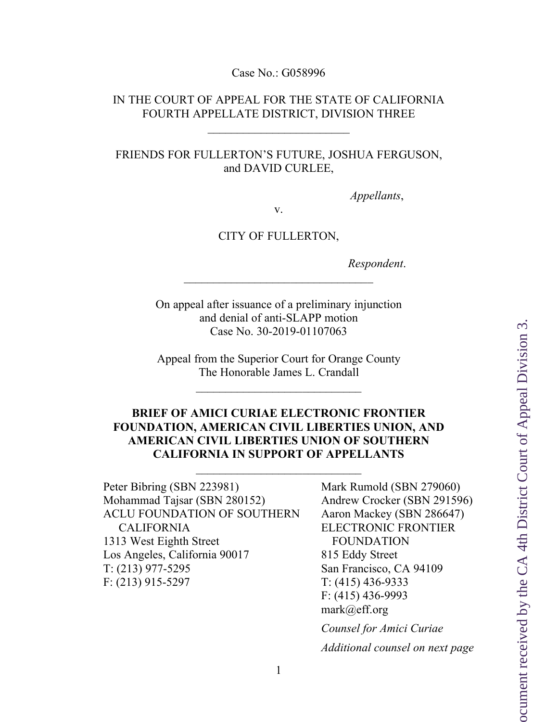Case No.: G058996

### IN THE COURT OF APPEAL FOR THE STATE OF CALIFORNIA FOURTH APPELLATE DISTRICT, DIVISION THREE

#### FRIENDS FOR FULLERTON'S FUTURE, JOSHUA FERGUSON, and DAVID CURLEE,

*Appellants*,

v.

#### CITY OF FULLERTON,

*Respondent*.

On appeal after issuance of a preliminary injunction and denial of anti-SLAPP motion Case No. 30-2019-01107063

Appeal from the Superior Court for Orange County The Honorable James L. Crandall

## **BRIEF OF AMICI CURIAE ELECTRONIC FRONTIER FOUNDATION, AMERICAN CIVIL LIBERTIES UNION, AND AMERICAN CIVIL LIBERTIES UNION OF SOUTHERN CALIFORNIA IN SUPPORT OF APPELLANTS**

Peter Bibring (SBN 223981) Mohammad Tajsar (SBN 280152) ACLU FOUNDATION OF SOUTHERN CALIFORNIA 1313 West Eighth Street Los Angeles, California 90017 T: (213) 977-5295 F: (213) 915-5297

Mark Rumold (SBN 279060) Andrew Crocker (SBN 291596) Aaron Mackey (SBN 286647) ELECTRONIC FRONTIER FOUNDATION 815 Eddy Street San Francisco, CA 94109 T: (415) 436-9333 F: (415) 436-9993 mark@eff.org *Counsel for Amici Curiae*

*Additional counsel on next page*

1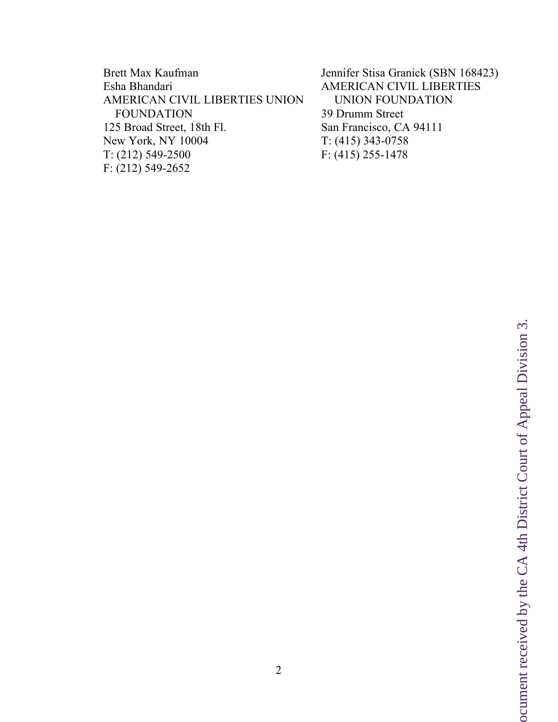Brett Max Kaufman Esha Bhandari AMERICAN CIVIL LIBERTIES UNION FOUNDATION 125 Broad Street, 18th Fl. New York, NY 10004 T: (212) 549-2500 F: (212) 549-2652

Jennifer Stisa Granick (SBN 168423) AMERICAN CIVIL LIBERTIES UNION FOUNDATION 39 Drumm Street San Francisco, CA 94111 T: (415) 343-0758 F: (415) 255-1478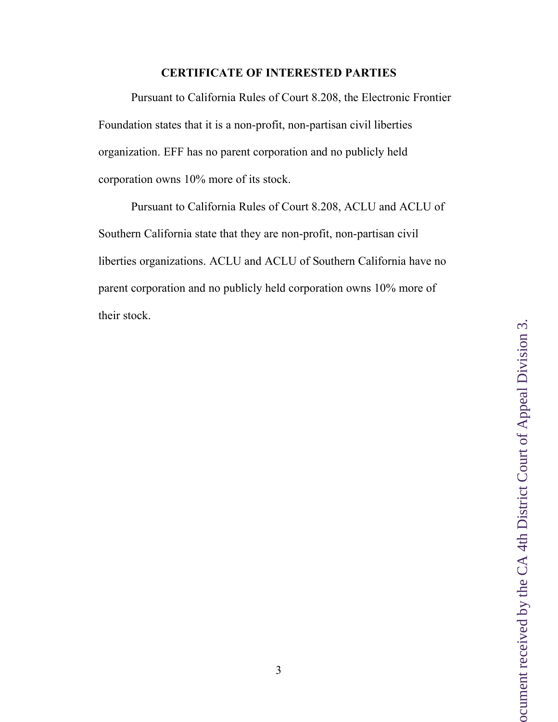## **CERTIFICATE OF INTERESTED PARTIES**

Pursuant to California Rules of Court 8.208, the Electronic Frontier Foundation states that it is a non-profit, non-partisan civil liberties organization. EFF has no parent corporation and no publicly held corporation owns 10% more of its stock.

Pursuant to California Rules of Court 8.208, ACLU and ACLU of Southern California state that they are non-profit, non-partisan civil liberties organizations. ACLU and ACLU of Southern California have no parent corporation and no publicly held corporation owns 10% more of their stock.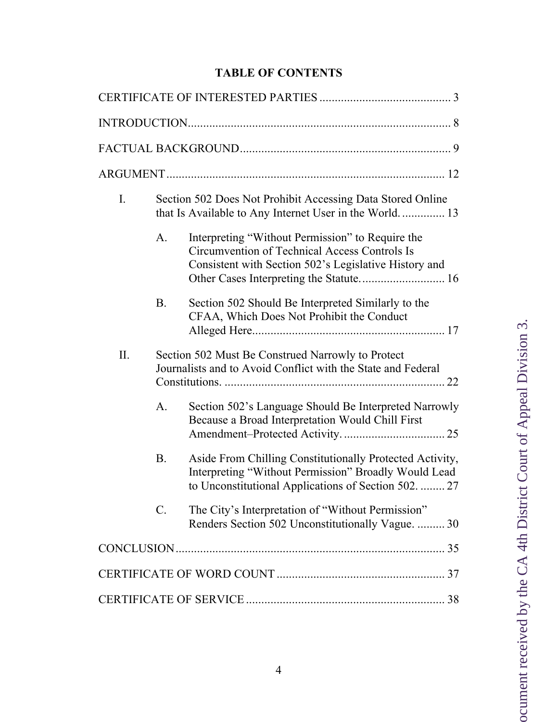# **TABLE OF CONTENTS**

| $I_{\cdot}$ | Section 502 Does Not Prohibit Accessing Data Stored Online<br>that Is Available to Any Internet User in the World 13 |                                                                                                                                                                          |  |
|-------------|----------------------------------------------------------------------------------------------------------------------|--------------------------------------------------------------------------------------------------------------------------------------------------------------------------|--|
|             | A.                                                                                                                   | Interpreting "Without Permission" to Require the<br>Circumvention of Technical Access Controls Is<br>Consistent with Section 502's Legislative History and               |  |
|             | <b>B.</b>                                                                                                            | Section 502 Should Be Interpreted Similarly to the<br>CFAA, Which Does Not Prohibit the Conduct                                                                          |  |
| II.         |                                                                                                                      | Section 502 Must Be Construed Narrowly to Protect<br>Journalists and to Avoid Conflict with the State and Federal                                                        |  |
|             | A.                                                                                                                   | Section 502's Language Should Be Interpreted Narrowly<br>Because a Broad Interpretation Would Chill First                                                                |  |
|             | <b>B.</b>                                                                                                            | Aside From Chilling Constitutionally Protected Activity,<br>Interpreting "Without Permission" Broadly Would Lead<br>to Unconstitutional Applications of Section 502.  27 |  |
|             | $\mathcal{C}$ .                                                                                                      | The City's Interpretation of "Without Permission"<br>Renders Section 502 Unconstitutionally Vague.  30                                                                   |  |
|             |                                                                                                                      |                                                                                                                                                                          |  |
|             |                                                                                                                      |                                                                                                                                                                          |  |
|             |                                                                                                                      |                                                                                                                                                                          |  |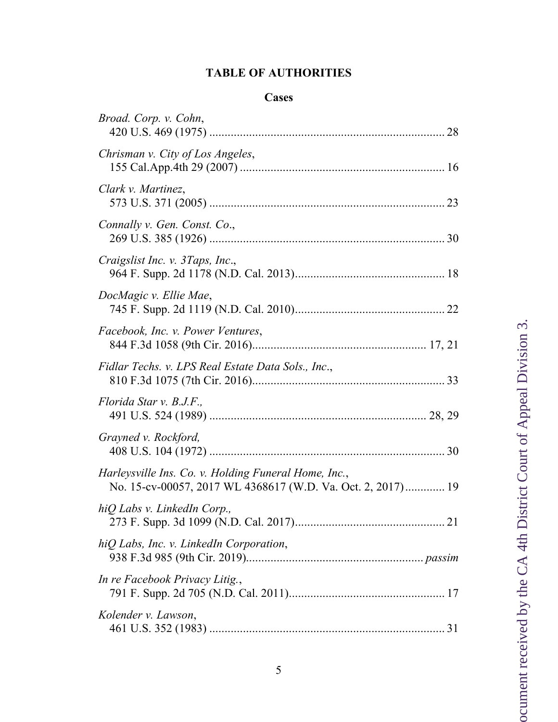# **TABLE OF AUTHORITIES**

# **Cases**

| Broad. Corp. v. Cohn,                                                                                               |
|---------------------------------------------------------------------------------------------------------------------|
| Chrisman v. City of Los Angeles,                                                                                    |
| Clark v. Martinez,                                                                                                  |
| Connally v. Gen. Const. Co.,                                                                                        |
| Craigslist Inc. v. 3Taps, Inc.,                                                                                     |
| DocMagic v. Ellie Mae,                                                                                              |
| Facebook, Inc. v. Power Ventures,                                                                                   |
| Fidlar Techs. v. LPS Real Estate Data Sols., Inc.,                                                                  |
| Florida Star v. B.J.F.,                                                                                             |
| Grayned v. Rockford,                                                                                                |
| Harleysville Ins. Co. v. Holding Funeral Home, Inc.,<br>No. 15-cv-00057, 2017 WL 4368617 (W.D. Va. Oct. 2, 2017) 19 |
| hiQ Labs v. LinkedIn Corp.,                                                                                         |
| hiQ Labs, Inc. v. LinkedIn Corporation,                                                                             |
| In re Facebook Privacy Litig.,                                                                                      |
| Kolender v. Lawson,                                                                                                 |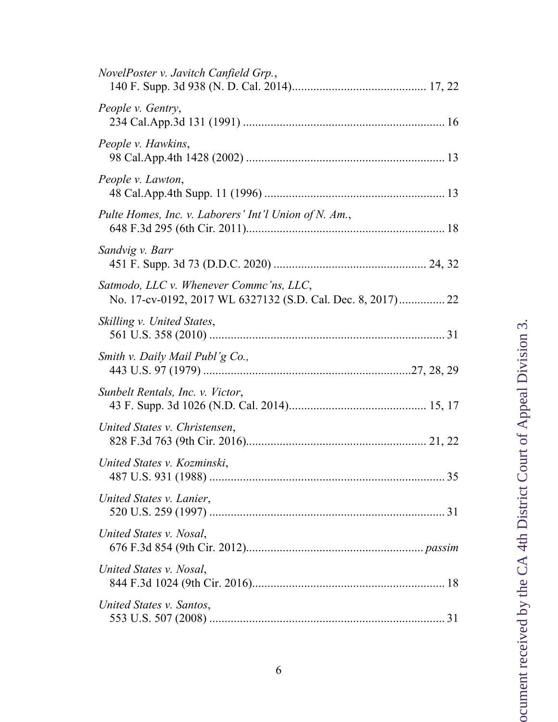| NovelPoster v. Javitch Canfield Grp.,                 |  |
|-------------------------------------------------------|--|
| People v. Gentry,                                     |  |
| People v. Hawkins,                                    |  |
| People v. Lawton,                                     |  |
| Pulte Homes, Inc. v. Laborers' Int'l Union of N. Am., |  |
| Sandvig v. Barr                                       |  |
| Satmodo, LLC v. Whenever Commc'ns, LLC,               |  |
| Skilling v. United States,                            |  |
| Smith v. Daily Mail Publ'g Co.,                       |  |
| Sunbelt Rentals, Inc. v. Victor,                      |  |
| United States v. Christensen,                         |  |
| United States v. Kozminski,                           |  |
| United States v. Lanier,                              |  |
| United States v. Nosal,                               |  |
| United States v. Nosal,                               |  |
| United States v. Santos,                              |  |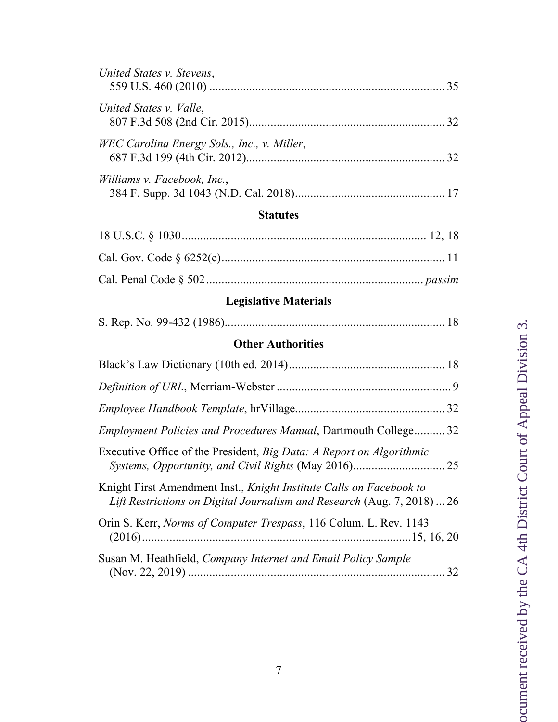| United States v. Stevens,                                                                                                                      |
|------------------------------------------------------------------------------------------------------------------------------------------------|
| United States v. Valle,                                                                                                                        |
| WEC Carolina Energy Sols., Inc., v. Miller,                                                                                                    |
| Williams v. Facebook, Inc.,                                                                                                                    |
| <b>Statutes</b>                                                                                                                                |
|                                                                                                                                                |
|                                                                                                                                                |
|                                                                                                                                                |
| <b>Legislative Materials</b>                                                                                                                   |
|                                                                                                                                                |
| <b>Other Authorities</b>                                                                                                                       |
|                                                                                                                                                |
|                                                                                                                                                |
|                                                                                                                                                |
| Employment Policies and Procedures Manual, Dartmouth College 32                                                                                |
| Executive Office of the President, Big Data: A Report on Algorithmic                                                                           |
| Knight First Amendment Inst., Knight Institute Calls on Facebook to<br>Lift Restrictions on Digital Journalism and Research (Aug. 7, 2018)  26 |
| Orin S. Kerr, Norms of Computer Trespass, 116 Colum. L. Rev. 1143                                                                              |
| Susan M. Heathfield, Company Internet and Email Policy Sample                                                                                  |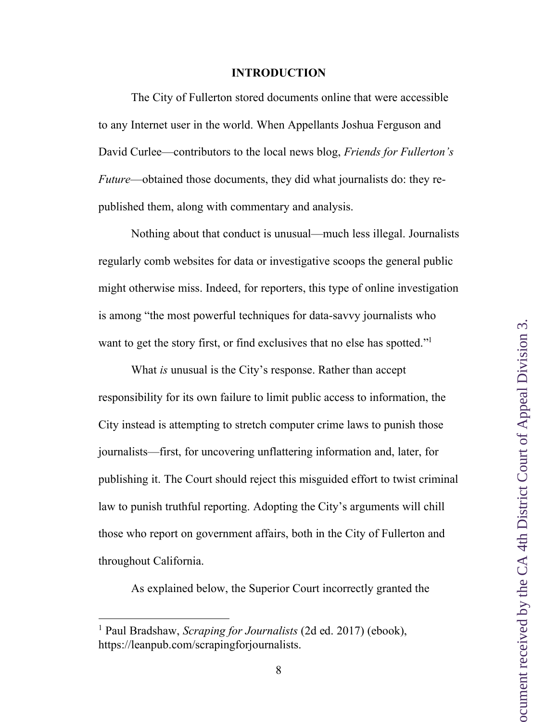#### **INTRODUCTION**

The City of Fullerton stored documents online that were accessible to any Internet user in the world. When Appellants Joshua Ferguson and David Curlee—contributors to the local news blog, *Friends for Fullerton's Future*—obtained those documents, they did what journalists do: they republished them, along with commentary and analysis.

Nothing about that conduct is unusual—much less illegal. Journalists regularly comb websites for data or investigative scoops the general public might otherwise miss. Indeed, for reporters, this type of online investigation is among "the most powerful techniques for data-savvy journalists who want to get the story first, or find exclusives that no else has spotted."<sup>1</sup>

What *is* unusual is the City's response. Rather than accept responsibility for its own failure to limit public access to information, the City instead is attempting to stretch computer crime laws to punish those journalists—first, for uncovering unflattering information and, later, for publishing it. The Court should reject this misguided effort to twist criminal law to punish truthful reporting. Adopting the City's arguments will chill those who report on government affairs, both in the City of Fullerton and throughout California.

As explained below, the Superior Court incorrectly granted the

 <sup>1</sup> Paul Bradshaw, *Scraping for Journalists* (2d ed. 2017) (ebook), https://leanpub.com/scrapingforjournalists.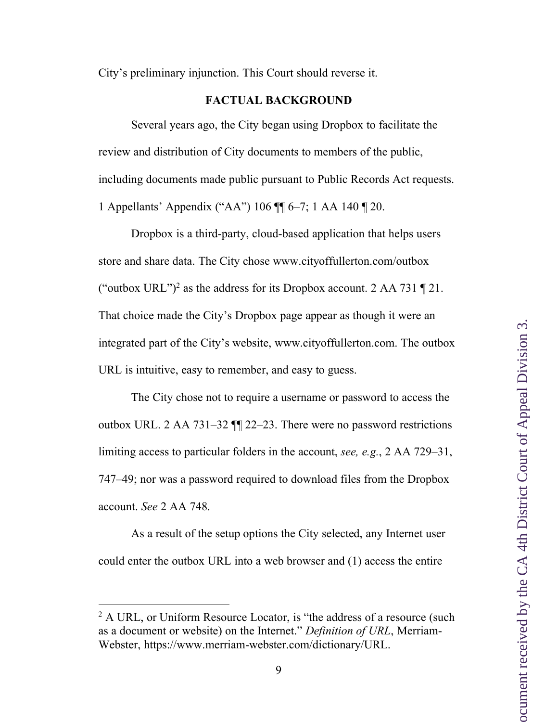City's preliminary injunction. This Court should reverse it.

#### **FACTUAL BACKGROUND**

Several years ago, the City began using Dropbox to facilitate the review and distribution of City documents to members of the public, including documents made public pursuant to Public Records Act requests. 1 Appellants' Appendix ("AA") 106 ¶¶ 6–7; 1 AA 140 ¶ 20.

Dropbox is a third-party, cloud-based application that helps users store and share data. The City chose www.cityoffullerton.com/outbox ("outbox URL")<sup>2</sup> as the address for its Dropbox account. 2 AA 731  $\P$  21. That choice made the City's Dropbox page appear as though it were an integrated part of the City's website, www.cityoffullerton.com. The outbox URL is intuitive, easy to remember, and easy to guess.

The City chose not to require a username or password to access the outbox URL. 2 AA 731–32 ¶¶ 22–23. There were no password restrictions limiting access to particular folders in the account, *see, e.g.*, 2 AA 729–31, 747–49; nor was a password required to download files from the Dropbox account. *See* 2 AA 748.

As a result of the setup options the City selected, any Internet user could enter the outbox URL into a web browser and (1) access the entire

<sup>&</sup>lt;sup>2</sup> A URL, or Uniform Resource Locator, is "the address of a resource (such as a document or website) on the Internet." *Definition of URL*, Merriam-Webster, https://www.merriam-webster.com/dictionary/URL.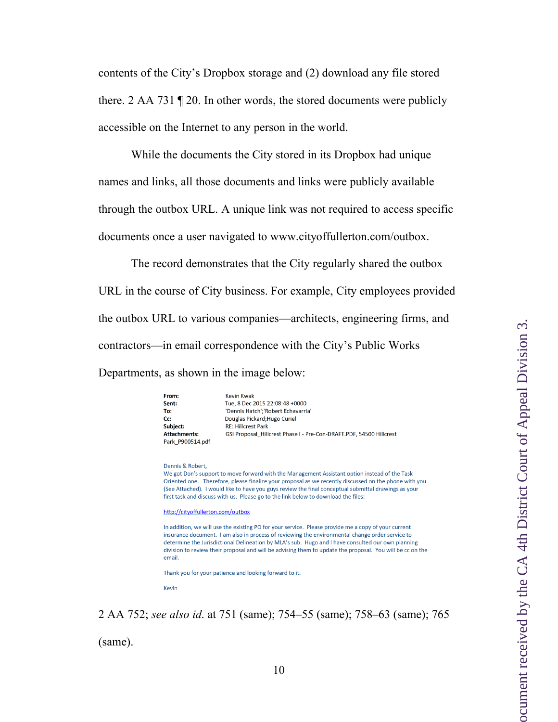contents of the City's Dropbox storage and (2) download any file stored there. 2 AA 731 ¶ 20. In other words, the stored documents were publicly accessible on the Internet to any person in the world.

While the documents the City stored in its Dropbox had unique names and links, all those documents and links were publicly available through the outbox URL. A unique link was not required to access specific documents once a user navigated to www.cityoffullerton.com/outbox.

The record demonstrates that the City regularly shared the outbox URL in the course of City business. For example, City employees provided the outbox URL to various companies—architects, engineering firms, and contractors—in email correspondence with the City's Public Works Departments, as shown in the image below:

| From:               | <b>Kevin Kwak</b>                                                   |
|---------------------|---------------------------------------------------------------------|
| Sent:               | Tue, 8 Dec 2015 22:08:48 +0000                                      |
| To:                 | 'Dennis Hatch';'Robert Echavarria'                                  |
| Cc:                 | Douglas Pickard; Hugo Curiel                                        |
| Subject:            | <b>RE: Hillcrest Park</b>                                           |
| <b>Attachments:</b> | GSI Proposal_Hillcrest Phase I - Pre-Con-DRAFT.PDF, 54500 Hillcrest |
| Park P900514.pdf    |                                                                     |

#### Dennis & Robert.

We got Don's support to move forward with the Management Assistant option instead of the Task Oriented one. Therefore, please finalize your proposal as we recently discussed on the phone with you (See Attached). I would like to have you guys review the final conceptual submittal drawings as your first task and discuss with us. Please go to the link below to download the files:

#### http://cityoffullerton.com/outbox

In addition, we will use the existing PO for your service. Please provide me a copy of your current insurance document. I am also in process of reviewing the environmental change order service to determine the Jurisdictional Delineation by MLA's sub. Hugo and I have consulted our own planning division to review their proposal and will be advising them to update the proposal. You will be cc on the email.

Thank you for your patience and looking forward to it.

Kevin

2 AA 752; *see also id*. at 751 (same); 754–55 (same); 758–63 (same); 765

(same).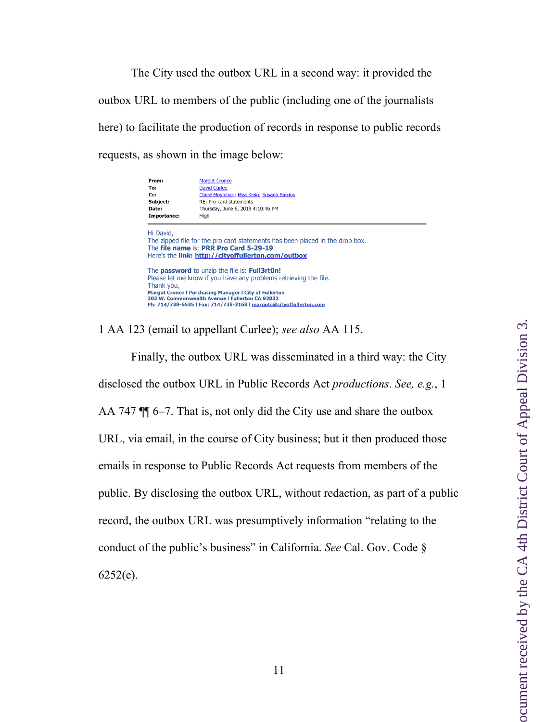The City used the outbox URL in a second way: it provided the outbox URL to members of the public (including one of the journalists here) to facilitate the production of records in response to public records requests, as shown in the image below:

| From:<br>To:<br>Cc:<br>Subject:<br>Date:<br>Importance:                                                                                                                                                                                                                                                                                 | <b>Margot Cronce</b><br><b>David Curlee</b><br>Claire Movnihan; Mea Klein; Susana Barrios<br>RE: Pro-card statements<br>Thursday, June 6, 2019 4:10:46 PM<br>High |  |  |  |
|-----------------------------------------------------------------------------------------------------------------------------------------------------------------------------------------------------------------------------------------------------------------------------------------------------------------------------------------|-------------------------------------------------------------------------------------------------------------------------------------------------------------------|--|--|--|
| Hi David,<br>The zipped file for the pro card statements has been placed in the drop box.<br>The file name is: PRR Pro Card 5-29-19<br>Here's the link: http://cityoffullerton.com/outbox                                                                                                                                               |                                                                                                                                                                   |  |  |  |
| The <b>password</b> to unzip the file is: <b>Full3rt0n!</b><br>Please let me know if you have any problems retrieving the file.<br>Thank you,<br><b>Margot Cronce I Purchasing Manager I City of Fullerton</b><br>303 W. Commonwealth Avenue I Fullerton CA 92832<br>Ph: 714/738-6535   Fax: 714/738-3168   margotc@cityoffullerton.com |                                                                                                                                                                   |  |  |  |

1 AA 123 (email to appellant Curlee); *see also* AA 115.

Finally, the outbox URL was disseminated in a third way: the City disclosed the outbox URL in Public Records Act *productions*. *See, e.g.*, 1 AA 747  $\P$  6–7. That is, not only did the City use and share the outbox URL, via email, in the course of City business; but it then produced those emails in response to Public Records Act requests from members of the public. By disclosing the outbox URL, without redaction, as part of a public record, the outbox URL was presumptively information "relating to the conduct of the public's business" in California. *See* Cal. Gov. Code §  $6252(e)$ .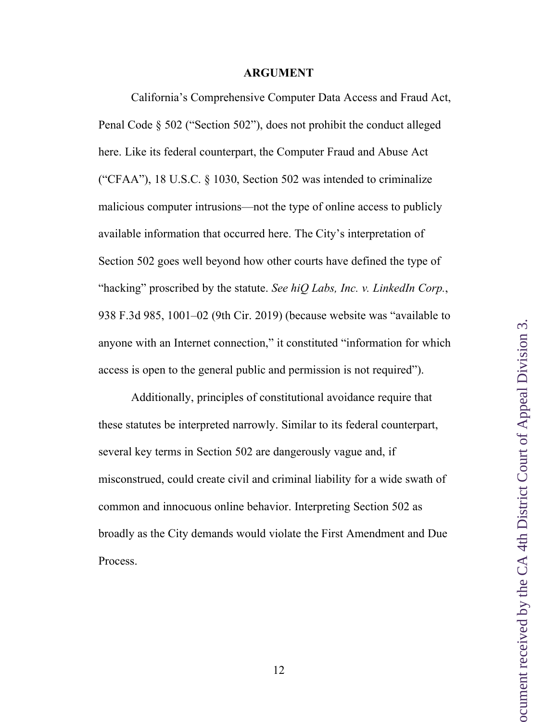#### **ARGUMENT**

California's Comprehensive Computer Data Access and Fraud Act, Penal Code § 502 ("Section 502"), does not prohibit the conduct alleged here. Like its federal counterpart, the Computer Fraud and Abuse Act ("CFAA"), 18 U.S.C. § 1030, Section 502 was intended to criminalize malicious computer intrusions—not the type of online access to publicly available information that occurred here. The City's interpretation of Section 502 goes well beyond how other courts have defined the type of "hacking" proscribed by the statute. *See hiQ Labs, Inc. v. LinkedIn Corp.*, 938 F.3d 985, 1001–02 (9th Cir. 2019) (because website was "available to anyone with an Internet connection," it constituted "information for which access is open to the general public and permission is not required").

Additionally, principles of constitutional avoidance require that these statutes be interpreted narrowly. Similar to its federal counterpart, several key terms in Section 502 are dangerously vague and, if misconstrued, could create civil and criminal liability for a wide swath of common and innocuous online behavior. Interpreting Section 502 as broadly as the City demands would violate the First Amendment and Due Process.

12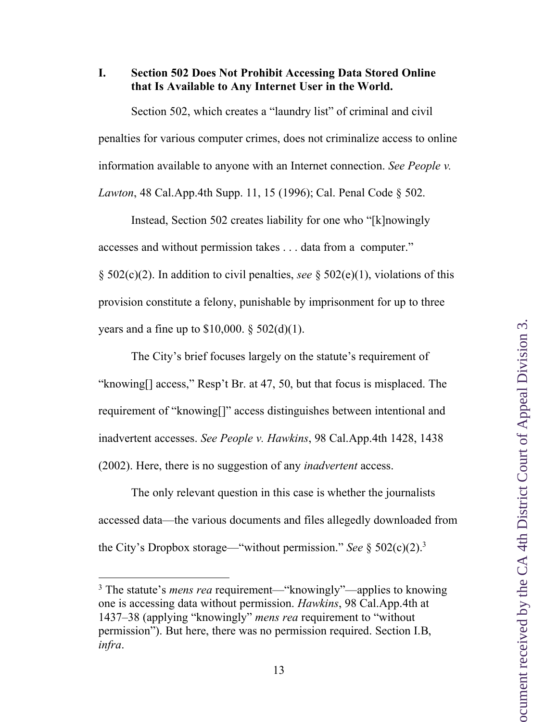#### **I. Section 502 Does Not Prohibit Accessing Data Stored Online that Is Available to Any Internet User in the World.**

Section 502, which creates a "laundry list" of criminal and civil penalties for various computer crimes, does not criminalize access to online information available to anyone with an Internet connection. *See People v. Lawton*, 48 Cal.App.4th Supp. 11, 15 (1996); Cal. Penal Code § 502.

Instead, Section 502 creates liability for one who "[k]nowingly accesses and without permission takes . . . data from a computer." § 502(c)(2). In addition to civil penalties, *see* § 502(e)(1), violations of this provision constitute a felony, punishable by imprisonment for up to three years and a fine up to  $$10,000$ .  $$502(d)(1)$ .

The City's brief focuses largely on the statute's requirement of "knowing[] access," Resp't Br. at 47, 50, but that focus is misplaced. The requirement of "knowing[]" access distinguishes between intentional and inadvertent accesses. *See People v. Hawkins*, 98 Cal.App.4th 1428, 1438 (2002). Here, there is no suggestion of any *inadvertent* access.

The only relevant question in this case is whether the journalists accessed data—the various documents and files allegedly downloaded from the City's Dropbox storage—"without permission." *See* § 502(c)(2).3

 <sup>3</sup> The statute's *mens rea* requirement—"knowingly"—applies to knowing one is accessing data without permission. *Hawkins*, 98 Cal.App.4th at 1437–38 (applying "knowingly" *mens rea* requirement to "without permission"). But here, there was no permission required. Section I.B, *infra*.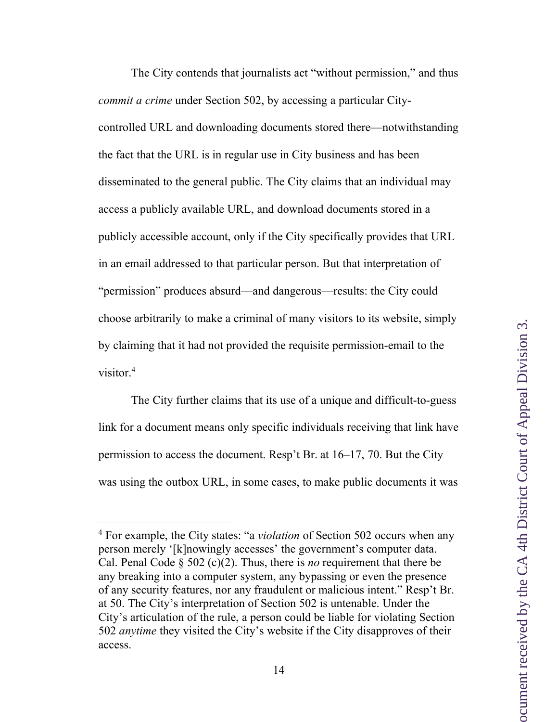The City contends that journalists act "without permission," and thus *commit a crime* under Section 502, by accessing a particular Citycontrolled URL and downloading documents stored there—notwithstanding the fact that the URL is in regular use in City business and has been disseminated to the general public. The City claims that an individual may access a publicly available URL, and download documents stored in a publicly accessible account, only if the City specifically provides that URL in an email addressed to that particular person. But that interpretation of "permission" produces absurd—and dangerous—results: the City could choose arbitrarily to make a criminal of many visitors to its website, simply by claiming that it had not provided the requisite permission-email to the visitor.4

The City further claims that its use of a unique and difficult-to-guess link for a document means only specific individuals receiving that link have permission to access the document. Resp't Br. at 16–17, 70. But the City was using the outbox URL, in some cases, to make public documents it was

 <sup>4</sup> For example, the City states: "a *violation* of Section 502 occurs when any person merely '[k]nowingly accesses' the government's computer data. Cal. Penal Code § 502 (c)(2). Thus, there is *no* requirement that there be any breaking into a computer system, any bypassing or even the presence of any security features, nor any fraudulent or malicious intent." Resp't Br. at 50. The City's interpretation of Section 502 is untenable. Under the City's articulation of the rule, a person could be liable for violating Section 502 *anytime* they visited the City's website if the City disapproves of their access.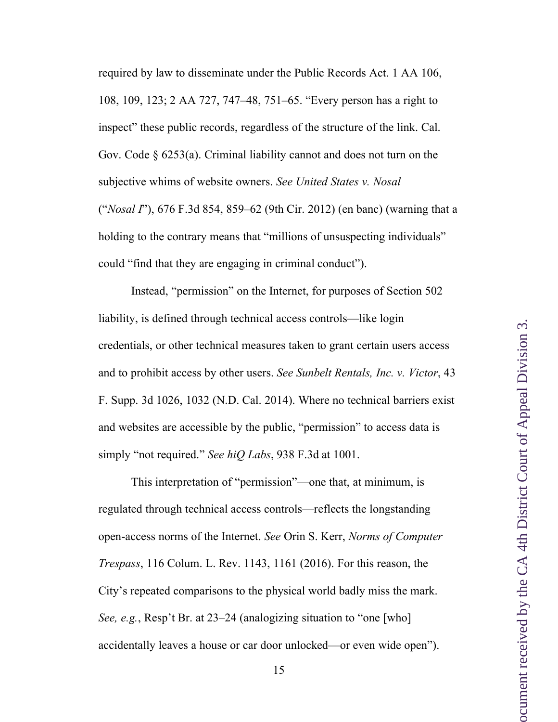required by law to disseminate under the Public Records Act. 1 AA 106, 108, 109, 123; 2 AA 727, 747–48, 751–65. "Every person has a right to inspect" these public records, regardless of the structure of the link. Cal. Gov. Code § 6253(a). Criminal liability cannot and does not turn on the subjective whims of website owners. *See United States v. Nosal* ("*Nosal I*"), 676 F.3d 854, 859–62 (9th Cir. 2012) (en banc) (warning that a holding to the contrary means that "millions of unsuspecting individuals" could "find that they are engaging in criminal conduct").

Instead, "permission" on the Internet, for purposes of Section 502 liability, is defined through technical access controls—like login credentials, or other technical measures taken to grant certain users access and to prohibit access by other users. *See Sunbelt Rentals, Inc. v. Victor*, 43 F. Supp. 3d 1026, 1032 (N.D. Cal. 2014). Where no technical barriers exist and websites are accessible by the public, "permission" to access data is simply "not required." *See hiQ Labs*, 938 F.3d at 1001.

This interpretation of "permission"—one that, at minimum, is regulated through technical access controls—reflects the longstanding open-access norms of the Internet. *See* Orin S. Kerr, *Norms of Computer Trespass*, 116 Colum. L. Rev. 1143, 1161 (2016). For this reason, the City's repeated comparisons to the physical world badly miss the mark. *See, e.g.*, Resp't Br. at 23–24 (analogizing situation to "one [who] accidentally leaves a house or car door unlocked—or even wide open").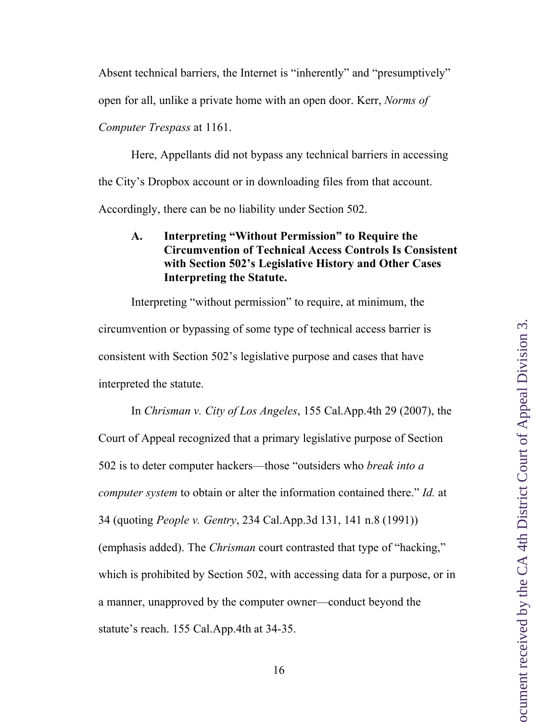Absent technical barriers, the Internet is "inherently" and "presumptively"

open for all, unlike a private home with an open door. Kerr, *Norms of* 

*Computer Trespass* at 1161.

Here, Appellants did not bypass any technical barriers in accessing the City's Dropbox account or in downloading files from that account. Accordingly, there can be no liability under Section 502.

# **A. Interpreting "Without Permission" to Require the Circumvention of Technical Access Controls Is Consistent with Section 502's Legislative History and Other Cases Interpreting the Statute.**

Interpreting "without permission" to require, at minimum, the circumvention or bypassing of some type of technical access barrier is consistent with Section 502's legislative purpose and cases that have interpreted the statute.

In *Chrisman v. City of Los Angeles*, 155 Cal.App.4th 29 (2007), the Court of Appeal recognized that a primary legislative purpose of Section 502 is to deter computer hackers—those "outsiders who *break into a computer system* to obtain or alter the information contained there." *Id.* at 34 (quoting *People v. Gentry*, 234 Cal.App.3d 131, 141 n.8 (1991)) (emphasis added). The *Chrisman* court contrasted that type of "hacking," which is prohibited by Section 502, with accessing data for a purpose, or in a manner, unapproved by the computer owner—conduct beyond the statute's reach. 155 Cal.App.4th at 34-35.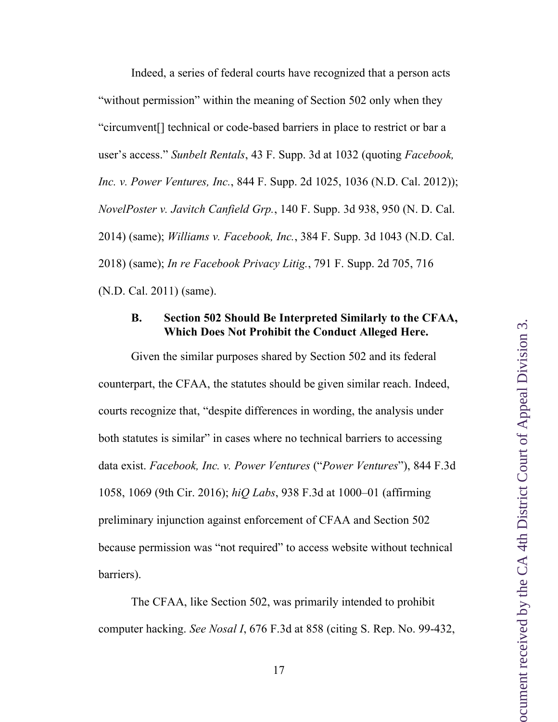Indeed, a series of federal courts have recognized that a person acts "without permission" within the meaning of Section 502 only when they "circumvent[] technical or code-based barriers in place to restrict or bar a user's access." *Sunbelt Rentals*, 43 F. Supp. 3d at 1032 (quoting *Facebook, Inc. v. Power Ventures, Inc.*, 844 F. Supp. 2d 1025, 1036 (N.D. Cal. 2012)); *NovelPoster v. Javitch Canfield Grp.*, 140 F. Supp. 3d 938, 950 (N. D. Cal. 2014) (same); *Williams v. Facebook, Inc.*, 384 F. Supp. 3d 1043 (N.D. Cal. 2018) (same); *In re Facebook Privacy Litig.*, 791 F. Supp. 2d 705, 716 (N.D. Cal. 2011) (same).

#### **B. Section 502 Should Be Interpreted Similarly to the CFAA, Which Does Not Prohibit the Conduct Alleged Here.**

Given the similar purposes shared by Section 502 and its federal counterpart, the CFAA, the statutes should be given similar reach. Indeed, courts recognize that, "despite differences in wording, the analysis under both statutes is similar" in cases where no technical barriers to accessing data exist. *Facebook, Inc. v. Power Ventures* ("*Power Ventures*"), 844 F.3d 1058, 1069 (9th Cir. 2016); *hiQ Labs*, 938 F.3d at 1000–01 (affirming preliminary injunction against enforcement of CFAA and Section 502 because permission was "not required" to access website without technical barriers).

The CFAA, like Section 502, was primarily intended to prohibit computer hacking. *See Nosal I*, 676 F.3d at 858 (citing S. Rep. No. 99-432,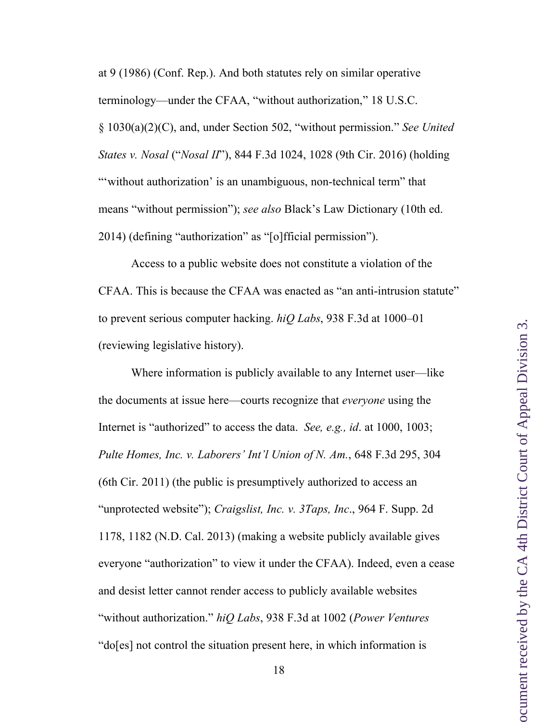at 9 (1986) (Conf. Rep.). And both statutes rely on similar operative terminology—under the CFAA, "without authorization," 18 U.S.C. § 1030(a)(2)(C), and, under Section 502, "without permission." *See United States v. Nosal* ("*Nosal II*"), 844 F.3d 1024, 1028 (9th Cir. 2016) (holding "without authorization' is an unambiguous, non-technical term" that means "without permission"); *see also* Black's Law Dictionary (10th ed. 2014) (defining "authorization" as "[o]fficial permission").

Access to a public website does not constitute a violation of the CFAA. This is because the CFAA was enacted as "an anti-intrusion statute" to prevent serious computer hacking. *hiQ Labs*, 938 F.3d at 1000–01 (reviewing legislative history).

Where information is publicly available to any Internet user—like the documents at issue here—courts recognize that *everyone* using the Internet is "authorized" to access the data. *See, e.g., id*. at 1000, 1003; *Pulte Homes, Inc. v. Laborers' Int'l Union of N. Am.*, 648 F.3d 295, 304 (6th Cir. 2011) (the public is presumptively authorized to access an "unprotected website"); *Craigslist, Inc. v. 3Taps, Inc*., 964 F. Supp. 2d 1178, 1182 (N.D. Cal. 2013) (making a website publicly available gives everyone "authorization" to view it under the CFAA). Indeed, even a cease and desist letter cannot render access to publicly available websites "without authorization." *hiQ Labs*, 938 F.3d at 1002 (*Power Ventures* "do[es] not control the situation present here, in which information is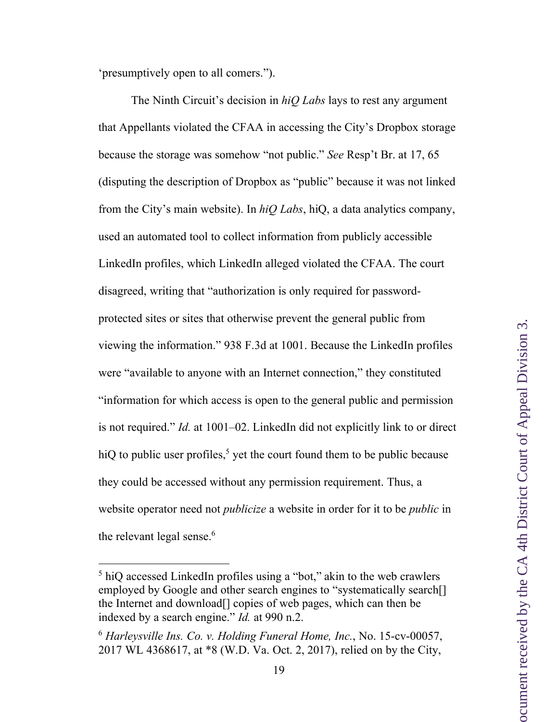'presumptively open to all comers.").

The Ninth Circuit's decision in *hiQ Labs* lays to rest any argument that Appellants violated the CFAA in accessing the City's Dropbox storage because the storage was somehow "not public." *See* Resp't Br. at 17, 65 (disputing the description of Dropbox as "public" because it was not linked from the City's main website). In *hiQ Labs*, hiQ, a data analytics company, used an automated tool to collect information from publicly accessible LinkedIn profiles, which LinkedIn alleged violated the CFAA. The court disagreed, writing that "authorization is only required for passwordprotected sites or sites that otherwise prevent the general public from viewing the information." 938 F.3d at 1001. Because the LinkedIn profiles were "available to anyone with an Internet connection," they constituted "information for which access is open to the general public and permission is not required." *Id.* at 1001–02. LinkedIn did not explicitly link to or direct hiQ to public user profiles,<sup>5</sup> yet the court found them to be public because they could be accessed without any permission requirement. Thus, a website operator need not *publicize* a website in order for it to be *public* in the relevant legal sense. 6

<sup>&</sup>lt;sup>5</sup> hiQ accessed LinkedIn profiles using a "bot," akin to the web crawlers employed by Google and other search engines to "systematically search[] the Internet and download[] copies of web pages, which can then be indexed by a search engine." *Id.* at 990 n.2.

<sup>6</sup> *Harleysville Ins. Co. v. Holding Funeral Home, Inc.*, No. 15-cv-00057, 2017 WL 4368617, at \*8 (W.D. Va. Oct. 2, 2017), relied on by the City,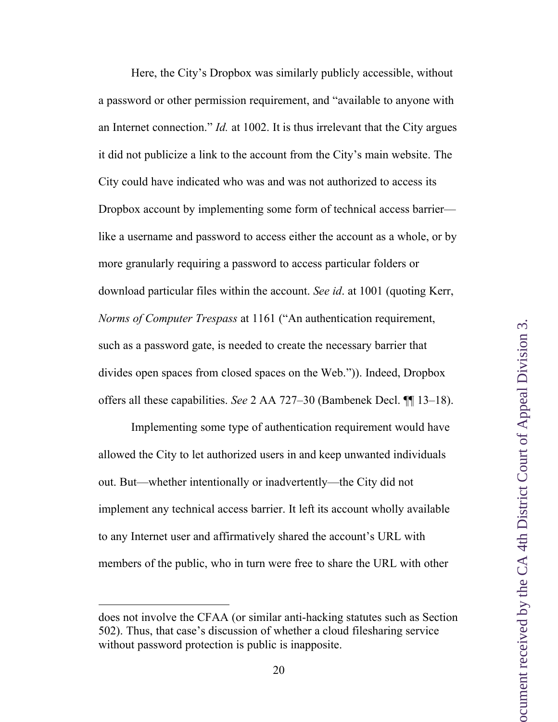Here, the City's Dropbox was similarly publicly accessible, without a password or other permission requirement, and "available to anyone with an Internet connection." *Id.* at 1002. It is thus irrelevant that the City argues it did not publicize a link to the account from the City's main website. The City could have indicated who was and was not authorized to access its Dropbox account by implementing some form of technical access barrier like a username and password to access either the account as a whole, or by more granularly requiring a password to access particular folders or download particular files within the account. *See id*. at 1001 (quoting Kerr, *Norms of Computer Trespass* at 1161 ("An authentication requirement, such as a password gate, is needed to create the necessary barrier that divides open spaces from closed spaces on the Web.")). Indeed, Dropbox offers all these capabilities. *See* 2 AA 727–30 (Bambenek Decl. ¶¶ 13–18).

Implementing some type of authentication requirement would have allowed the City to let authorized users in and keep unwanted individuals out. But—whether intentionally or inadvertently—the City did not implement any technical access barrier. It left its account wholly available to any Internet user and affirmatively shared the account's URL with members of the public, who in turn were free to share the URL with other

 $\overline{a}$ 

does not involve the CFAA (or similar anti-hacking statutes such as Section 502). Thus, that case's discussion of whether a cloud filesharing service without password protection is public is inapposite.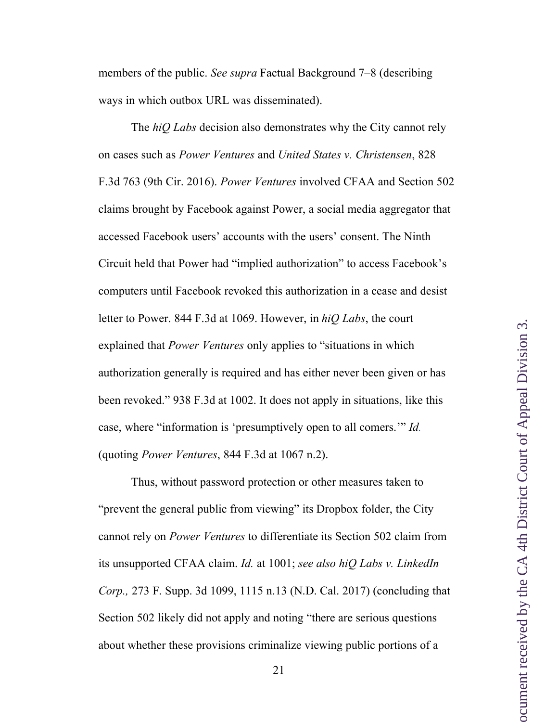members of the public. *See supra* Factual Background 7–8 (describing ways in which outbox URL was disseminated).

The *hiQ Labs* decision also demonstrates why the City cannot rely on cases such as *Power Ventures* and *United States v. Christensen*, 828 F.3d 763 (9th Cir. 2016). *Power Ventures* involved CFAA and Section 502 claims brought by Facebook against Power, a social media aggregator that accessed Facebook users' accounts with the users' consent. The Ninth Circuit held that Power had "implied authorization" to access Facebook's computers until Facebook revoked this authorization in a cease and desist letter to Power. 844 F.3d at 1069. However, in *hiQ Labs*, the court explained that *Power Ventures* only applies to "situations in which authorization generally is required and has either never been given or has been revoked." 938 F.3d at 1002. It does not apply in situations, like this case, where "information is 'presumptively open to all comers.'" *Id.* (quoting *Power Ventures*, 844 F.3d at 1067 n.2).

Thus, without password protection or other measures taken to "prevent the general public from viewing" its Dropbox folder, the City cannot rely on *Power Ventures* to differentiate its Section 502 claim from its unsupported CFAA claim. *Id.* at 1001; *see also hiQ Labs v. LinkedIn Corp.,* 273 F. Supp. 3d 1099, 1115 n.13 (N.D. Cal. 2017) (concluding that Section 502 likely did not apply and noting "there are serious questions about whether these provisions criminalize viewing public portions of a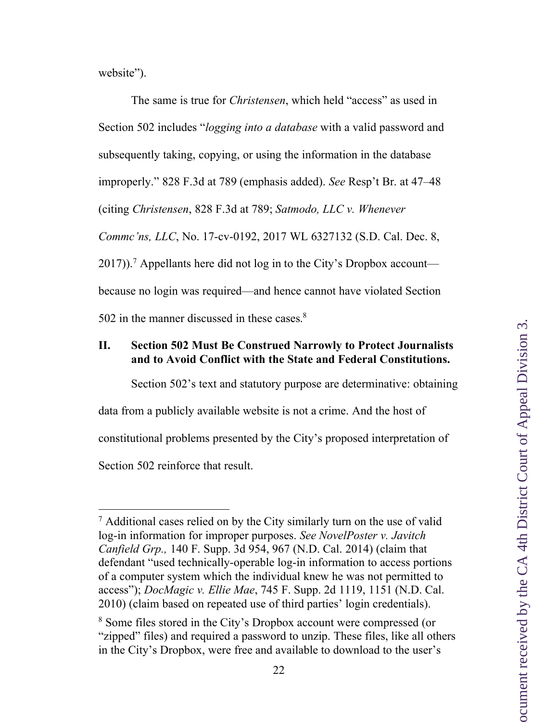website").

The same is true for *Christensen*, which held "access" as used in Section 502 includes "*logging into a database* with a valid password and subsequently taking, copying, or using the information in the database improperly." 828 F.3d at 789 (emphasis added). *See* Resp't Br. at 47–48 (citing *Christensen*, 828 F.3d at 789; *Satmodo, LLC v. Whenever Commc'ns, LLC*, No. 17-cv-0192, 2017 WL 6327132 (S.D. Cal. Dec. 8,  $2017$ ).<sup>7</sup> Appellants here did not log in to the City's Dropbox account because no login was required—and hence cannot have violated Section 502 in the manner discussed in these cases. $8<sup>8</sup>$ 

### **II. Section 502 Must Be Construed Narrowly to Protect Journalists and to Avoid Conflict with the State and Federal Constitutions.**

Section 502's text and statutory purpose are determinative: obtaining

data from a publicly available website is not a crime. And the host of

constitutional problems presented by the City's proposed interpretation of

Section 502 reinforce that result.

 <sup>7</sup> Additional cases relied on by the City similarly turn on the use of valid log-in information for improper purposes. *See NovelPoster v. Javitch Canfield Grp.,* 140 F. Supp. 3d 954, 967 (N.D. Cal. 2014) (claim that defendant "used technically-operable log-in information to access portions of a computer system which the individual knew he was not permitted to access"); *DocMagic v. Ellie Mae*, 745 F. Supp. 2d 1119, 1151 (N.D. Cal. 2010) (claim based on repeated use of third parties' login credentials).

<sup>8</sup> Some files stored in the City's Dropbox account were compressed (or "zipped" files) and required a password to unzip. These files, like all others in the City's Dropbox, were free and available to download to the user's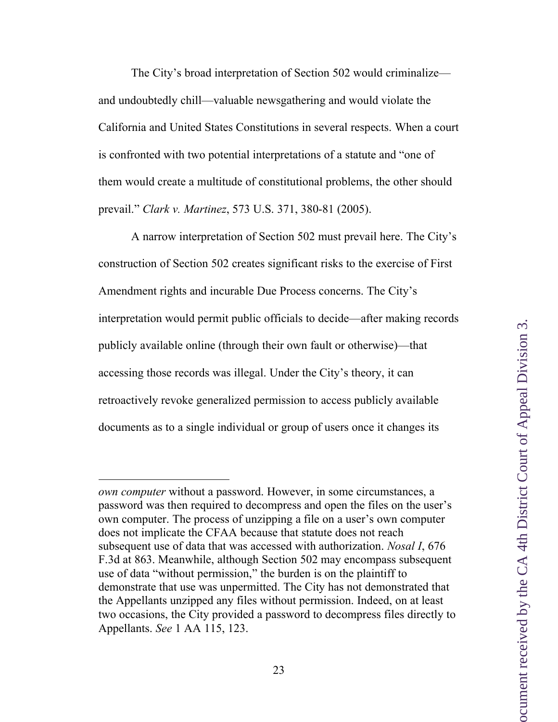The City's broad interpretation of Section 502 would criminalize and undoubtedly chill—valuable newsgathering and would violate the California and United States Constitutions in several respects. When a court is confronted with two potential interpretations of a statute and "one of them would create a multitude of constitutional problems, the other should prevail." *Clark v. Martinez*, 573 U.S. 371, 380-81 (2005).

A narrow interpretation of Section 502 must prevail here. The City's construction of Section 502 creates significant risks to the exercise of First Amendment rights and incurable Due Process concerns. The City's interpretation would permit public officials to decide—after making records publicly available online (through their own fault or otherwise)—that accessing those records was illegal. Under the City's theory, it can retroactively revoke generalized permission to access publicly available documents as to a single individual or group of users once it changes its

 $\overline{a}$ 

*own computer* without a password. However, in some circumstances, a password was then required to decompress and open the files on the user's own computer. The process of unzipping a file on a user's own computer does not implicate the CFAA because that statute does not reach subsequent use of data that was accessed with authorization. *Nosal I*, 676 F.3d at 863. Meanwhile, although Section 502 may encompass subsequent use of data "without permission," the burden is on the plaintiff to demonstrate that use was unpermitted. The City has not demonstrated that the Appellants unzipped any files without permission. Indeed, on at least two occasions, the City provided a password to decompress files directly to Appellants. *See* 1 AA 115, 123.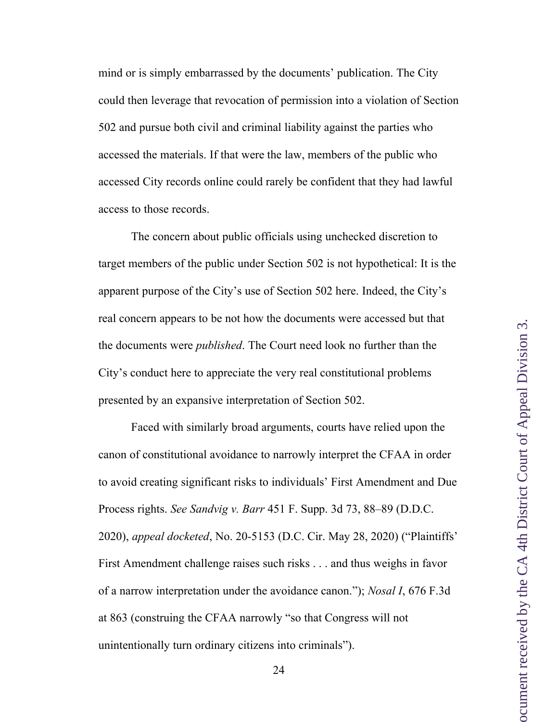mind or is simply embarrassed by the documents' publication. The City could then leverage that revocation of permission into a violation of Section 502 and pursue both civil and criminal liability against the parties who accessed the materials. If that were the law, members of the public who accessed City records online could rarely be confident that they had lawful access to those records.

The concern about public officials using unchecked discretion to target members of the public under Section 502 is not hypothetical: It is the apparent purpose of the City's use of Section 502 here. Indeed, the City's real concern appears to be not how the documents were accessed but that the documents were *published*. The Court need look no further than the City's conduct here to appreciate the very real constitutional problems presented by an expansive interpretation of Section 502.

Faced with similarly broad arguments, courts have relied upon the canon of constitutional avoidance to narrowly interpret the CFAA in order to avoid creating significant risks to individuals' First Amendment and Due Process rights. *See Sandvig v. Barr* 451 F. Supp. 3d 73, 88–89 (D.D.C. 2020), *appeal docketed*, No. 20-5153 (D.C. Cir. May 28, 2020) ("Plaintiffs' First Amendment challenge raises such risks . . . and thus weighs in favor of a narrow interpretation under the avoidance canon."); *Nosal I*, 676 F.3d at 863 (construing the CFAA narrowly "so that Congress will not unintentionally turn ordinary citizens into criminals").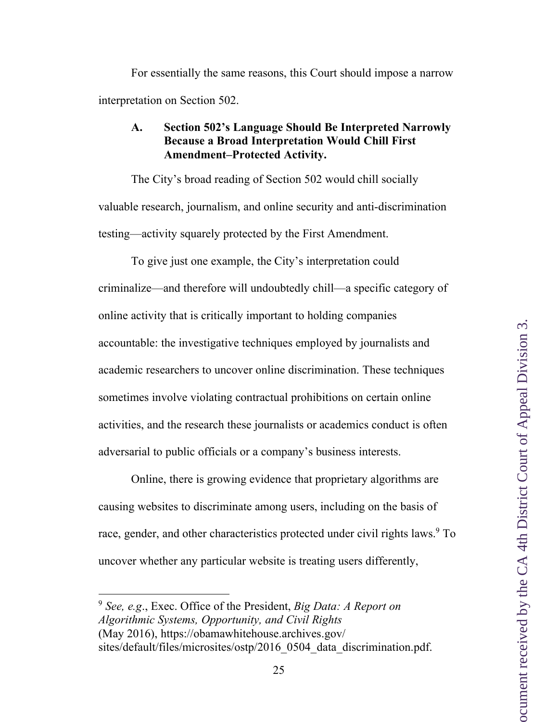For essentially the same reasons, this Court should impose a narrow interpretation on Section 502.

## **A. Section 502's Language Should Be Interpreted Narrowly Because a Broad Interpretation Would Chill First Amendment–Protected Activity.**

The City's broad reading of Section 502 would chill socially valuable research, journalism, and online security and anti-discrimination testing—activity squarely protected by the First Amendment.

To give just one example, the City's interpretation could criminalize—and therefore will undoubtedly chill—a specific category of online activity that is critically important to holding companies accountable: the investigative techniques employed by journalists and academic researchers to uncover online discrimination. These techniques sometimes involve violating contractual prohibitions on certain online activities, and the research these journalists or academics conduct is often adversarial to public officials or a company's business interests.

Online, there is growing evidence that proprietary algorithms are causing websites to discriminate among users, including on the basis of race, gender, and other characteristics protected under civil rights laws.<sup>9</sup> To uncover whether any particular website is treating users differently,

 <sup>9</sup> *See, e.g*., Exec. Office of the President, *Big Data: A Report on Algorithmic Systems, Opportunity, and Civil Rights*  (May 2016), https://obamawhitehouse.archives.gov/ sites/default/files/microsites/ostp/2016\_0504\_data\_discrimination.pdf.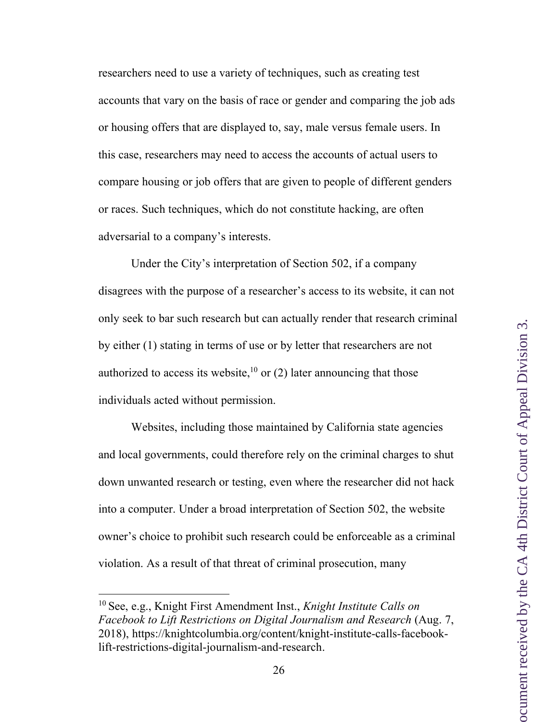researchers need to use a variety of techniques, such as creating test accounts that vary on the basis of race or gender and comparing the job ads or housing offers that are displayed to, say, male versus female users. In this case, researchers may need to access the accounts of actual users to compare housing or job offers that are given to people of different genders or races. Such techniques, which do not constitute hacking, are often adversarial to a company's interests.

Under the City's interpretation of Section 502, if a company disagrees with the purpose of a researcher's access to its website, it can not only seek to bar such research but can actually render that research criminal by either (1) stating in terms of use or by letter that researchers are not authorized to access its website,<sup>10</sup> or (2) later announcing that those individuals acted without permission.

Websites, including those maintained by California state agencies and local governments, could therefore rely on the criminal charges to shut down unwanted research or testing, even where the researcher did not hack into a computer. Under a broad interpretation of Section 502, the website owner's choice to prohibit such research could be enforceable as a criminal violation. As a result of that threat of criminal prosecution, many

 <sup>10</sup> See, e.g., Knight First Amendment Inst., *Knight Institute Calls on Facebook to Lift Restrictions on Digital Journalism and Research* (Aug. 7, 2018), https://knightcolumbia.org/content/knight-institute-calls-facebooklift-restrictions-digital-journalism-and-research.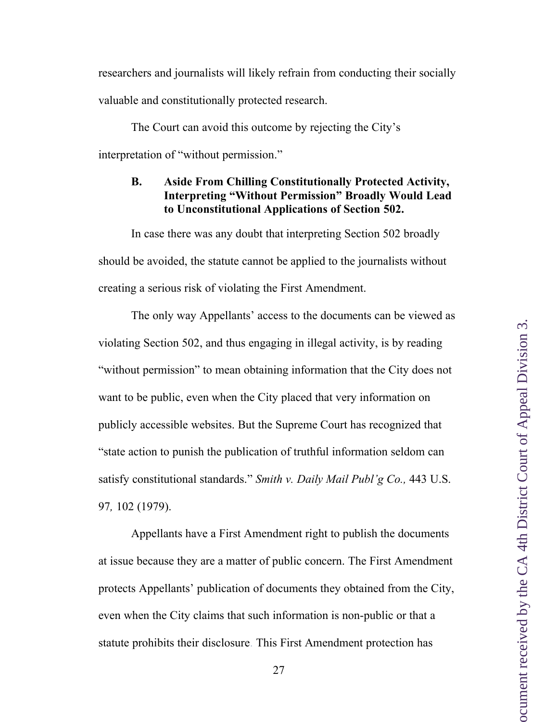researchers and journalists will likely refrain from conducting their socially valuable and constitutionally protected research.

The Court can avoid this outcome by rejecting the City's interpretation of "without permission."

# **B. Aside From Chilling Constitutionally Protected Activity, Interpreting "Without Permission" Broadly Would Lead to Unconstitutional Applications of Section 502.**

In case there was any doubt that interpreting Section 502 broadly should be avoided, the statute cannot be applied to the journalists without creating a serious risk of violating the First Amendment.

The only way Appellants' access to the documents can be viewed as violating Section 502, and thus engaging in illegal activity, is by reading "without permission" to mean obtaining information that the City does not want to be public, even when the City placed that very information on publicly accessible websites. But the Supreme Court has recognized that "state action to punish the publication of truthful information seldom can satisfy constitutional standards." *Smith v. Daily Mail Publ'g Co.,* 443 U.S. 97*,* 102 (1979).

Appellants have a First Amendment right to publish the documents at issue because they are a matter of public concern. The First Amendment protects Appellants' publication of documents they obtained from the City, even when the City claims that such information is non-public or that a statute prohibits their disclosure. This First Amendment protection has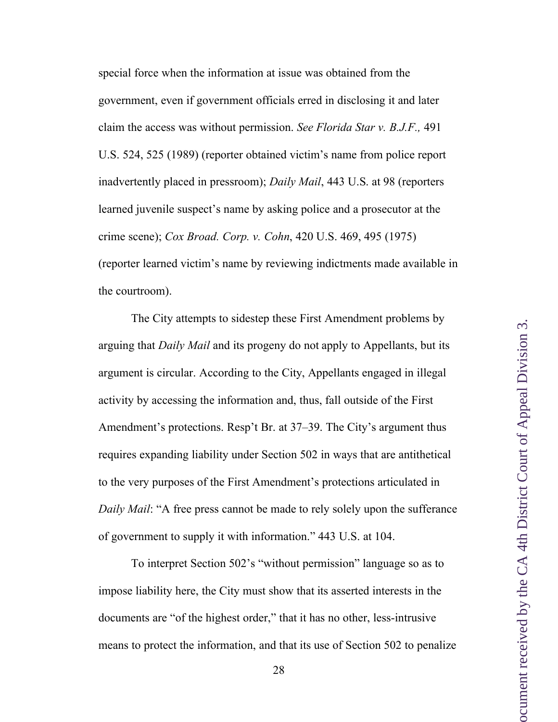special force when the information at issue was obtained from the government, even if government officials erred in disclosing it and later claim the access was without permission. *See Florida Star v. B.J.F.,* 491 U.S. 524, 525 (1989) (reporter obtained victim's name from police report inadvertently placed in pressroom); *Daily Mail*, 443 U.S. at 98 (reporters learned juvenile suspect's name by asking police and a prosecutor at the crime scene); *Cox Broad. Corp. v. Cohn*, 420 U.S. 469, 495 (1975) (reporter learned victim's name by reviewing indictments made available in the courtroom).

The City attempts to sidestep these First Amendment problems by arguing that *Daily Mail* and its progeny do not apply to Appellants, but its argument is circular. According to the City, Appellants engaged in illegal activity by accessing the information and, thus, fall outside of the First Amendment's protections. Resp't Br. at 37–39. The City's argument thus requires expanding liability under Section 502 in ways that are antithetical to the very purposes of the First Amendment's protections articulated in *Daily Mail*: "A free press cannot be made to rely solely upon the sufferance of government to supply it with information." 443 U.S. at 104.

To interpret Section 502's "without permission" language so as to impose liability here, the City must show that its asserted interests in the documents are "of the highest order," that it has no other, less-intrusive means to protect the information, and that its use of Section 502 to penalize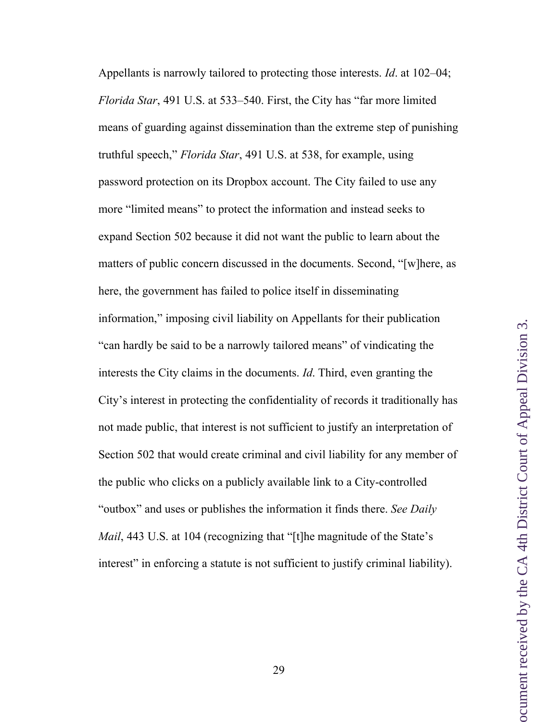Appellants is narrowly tailored to protecting those interests. *Id*. at 102–04; *Florida Star*, 491 U.S. at 533–540. First, the City has "far more limited means of guarding against dissemination than the extreme step of punishing truthful speech," *Florida Star*, 491 U.S. at 538, for example, using password protection on its Dropbox account. The City failed to use any more "limited means" to protect the information and instead seeks to expand Section 502 because it did not want the public to learn about the matters of public concern discussed in the documents. Second, "[w]here, as here, the government has failed to police itself in disseminating information," imposing civil liability on Appellants for their publication "can hardly be said to be a narrowly tailored means" of vindicating the interests the City claims in the documents. *Id*. Third, even granting the City's interest in protecting the confidentiality of records it traditionally has not made public, that interest is not sufficient to justify an interpretation of Section 502 that would create criminal and civil liability for any member of the public who clicks on a publicly available link to a City-controlled "outbox" and uses or publishes the information it finds there. *See Daily Mail*, 443 U.S. at 104 (recognizing that "[t]he magnitude of the State's interest" in enforcing a statute is not sufficient to justify criminal liability).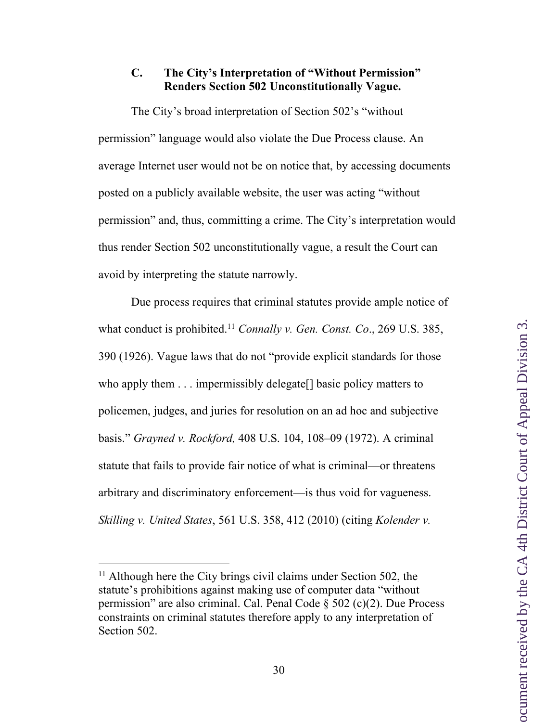## **C. The City's Interpretation of "Without Permission" Renders Section 502 Unconstitutionally Vague.**

The City's broad interpretation of Section 502's "without permission" language would also violate the Due Process clause. An average Internet user would not be on notice that, by accessing documents posted on a publicly available website, the user was acting "without permission" and, thus, committing a crime. The City's interpretation would thus render Section 502 unconstitutionally vague, a result the Court can avoid by interpreting the statute narrowly.

Due process requires that criminal statutes provide ample notice of what conduct is prohibited.11 *Connally v. Gen. Const. Co*., 269 U.S. 385, 390 (1926). Vague laws that do not "provide explicit standards for those who apply them . . . impermissibly delegate [] basic policy matters to policemen, judges, and juries for resolution on an ad hoc and subjective basis." *Grayned v. Rockford,* 408 U.S. 104, 108–09 (1972). A criminal statute that fails to provide fair notice of what is criminal—or threatens arbitrary and discriminatory enforcement—is thus void for vagueness. *Skilling v. United States*, 561 U.S. 358, 412 (2010) (citing *Kolender v.* 

<sup>&</sup>lt;sup>11</sup> Although here the City brings civil claims under Section 502, the statute's prohibitions against making use of computer data "without permission" are also criminal. Cal. Penal Code § 502 (c)(2). Due Process constraints on criminal statutes therefore apply to any interpretation of Section 502.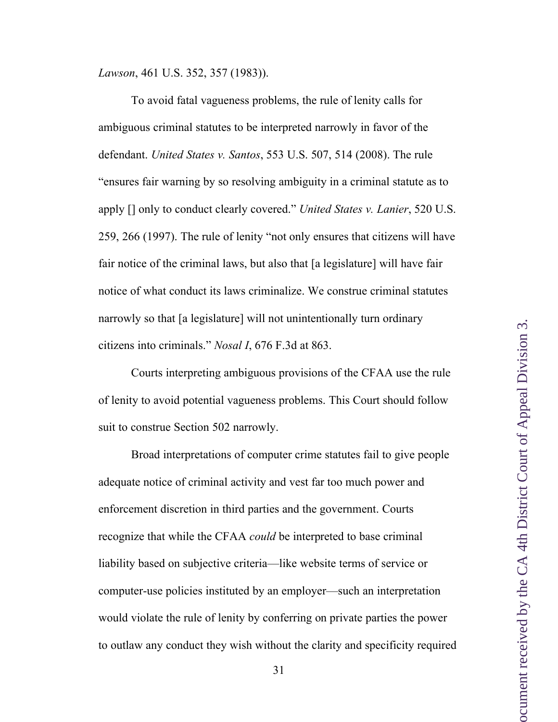*Lawson*, 461 U.S. 352, 357 (1983)).

To avoid fatal vagueness problems, the rule of lenity calls for ambiguous criminal statutes to be interpreted narrowly in favor of the defendant. *United States v. Santos*, 553 U.S. 507, 514 (2008). The rule "ensures fair warning by so resolving ambiguity in a criminal statute as to apply [] only to conduct clearly covered." *United States v. Lanier*, 520 U.S. 259, 266 (1997). The rule of lenity "not only ensures that citizens will have fair notice of the criminal laws, but also that [a legislature] will have fair notice of what conduct its laws criminalize. We construe criminal statutes narrowly so that [a legislature] will not unintentionally turn ordinary citizens into criminals." *Nosal I*, 676 F.3d at 863.

Courts interpreting ambiguous provisions of the CFAA use the rule of lenity to avoid potential vagueness problems. This Court should follow suit to construe Section 502 narrowly.

Broad interpretations of computer crime statutes fail to give people adequate notice of criminal activity and vest far too much power and enforcement discretion in third parties and the government. Courts recognize that while the CFAA *could* be interpreted to base criminal liability based on subjective criteria—like website terms of service or computer-use policies instituted by an employer—such an interpretation would violate the rule of lenity by conferring on private parties the power to outlaw any conduct they wish without the clarity and specificity required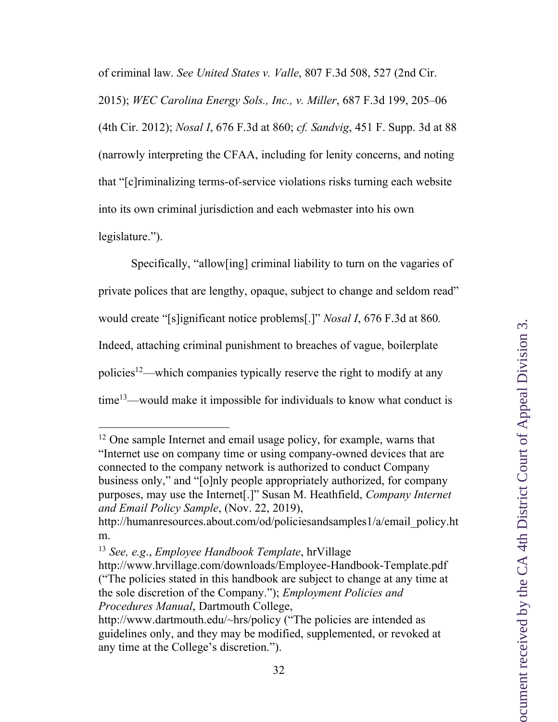of criminal law. *See United States v. Valle*, 807 F.3d 508, 527 (2nd Cir.

2015); *WEC Carolina Energy Sols., Inc., v. Miller*, 687 F.3d 199, 205–06 (4th Cir. 2012); *Nosal I*, 676 F.3d at 860; *cf. Sandvig*, 451 F. Supp. 3d at 88 (narrowly interpreting the CFAA, including for lenity concerns, and noting that "[c]riminalizing terms-of-service violations risks turning each website into its own criminal jurisdiction and each webmaster into his own legislature.").

Specifically, "allow[ing] criminal liability to turn on the vagaries of private polices that are lengthy, opaque, subject to change and seldom read" would create "[s]ignificant notice problems[.]" *Nosal I*, 676 F.3d at 860*.* Indeed, attaching criminal punishment to breaches of vague, boilerplate policies12—which companies typically reserve the right to modify at any time13—would make it impossible for individuals to know what conduct is

<sup>&</sup>lt;sup>12</sup> One sample Internet and email usage policy, for example, warns that "Internet use on company time or using company-owned devices that are connected to the company network is authorized to conduct Company business only," and "[o]nly people appropriately authorized, for company purposes, may use the Internet[.]" Susan M. Heathfield, *Company Internet and Email Policy Sample*, (Nov. 22, 2019),

http://humanresources.about.com/od/policiesandsamples1/a/email\_policy.ht m.

<sup>13</sup> *See, e.g*., *Employee Handbook Template*, hrVillage

http://www.hrvillage.com/downloads/Employee-Handbook-Template.pdf ("The policies stated in this handbook are subject to change at any time at the sole discretion of the Company."); *Employment Policies and Procedures Manual*, Dartmouth College,

http://www.dartmouth.edu/~hrs/policy ("The policies are intended as guidelines only, and they may be modified, supplemented, or revoked at any time at the College's discretion.").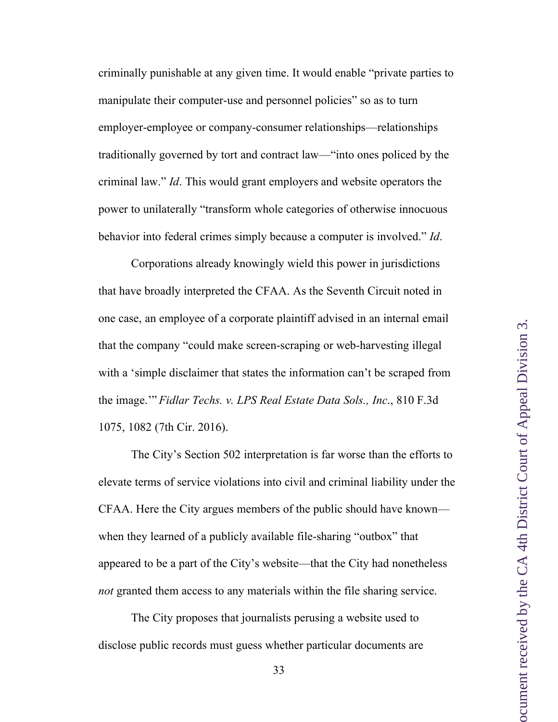criminally punishable at any given time. It would enable "private parties to manipulate their computer-use and personnel policies" so as to turn employer-employee or company-consumer relationships—relationships traditionally governed by tort and contract law—"into ones policed by the criminal law." *Id*. This would grant employers and website operators the power to unilaterally "transform whole categories of otherwise innocuous behavior into federal crimes simply because a computer is involved." *Id*.

Corporations already knowingly wield this power in jurisdictions that have broadly interpreted the CFAA. As the Seventh Circuit noted in one case, an employee of a corporate plaintiff advised in an internal email that the company "could make screen-scraping or web-harvesting illegal with a 'simple disclaimer that states the information can't be scraped from the image.'" *Fidlar Techs. v. LPS Real Estate Data Sols., Inc*., 810 F.3d 1075, 1082 (7th Cir. 2016).

The City's Section 502 interpretation is far worse than the efforts to elevate terms of service violations into civil and criminal liability under the CFAA. Here the City argues members of the public should have known when they learned of a publicly available file-sharing "outbox" that appeared to be a part of the City's website—that the City had nonetheless *not* granted them access to any materials within the file sharing service.

The City proposes that journalists perusing a website used to disclose public records must guess whether particular documents are

33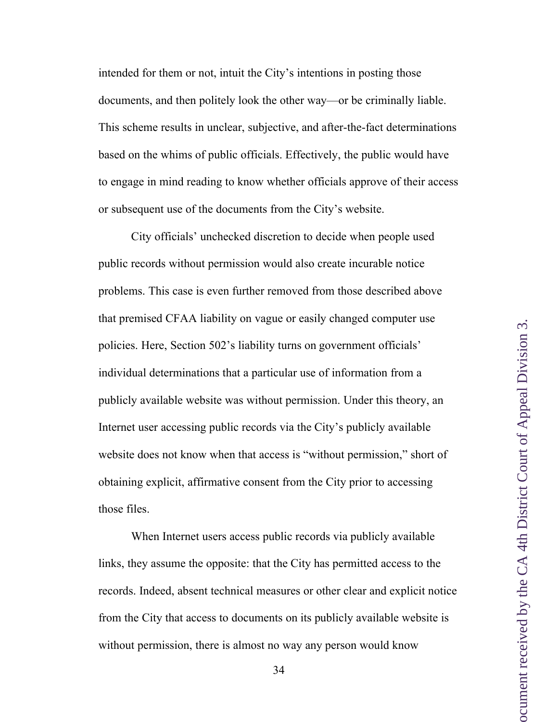intended for them or not, intuit the City's intentions in posting those documents, and then politely look the other way—or be criminally liable. This scheme results in unclear, subjective, and after-the-fact determinations based on the whims of public officials. Effectively, the public would have to engage in mind reading to know whether officials approve of their access or subsequent use of the documents from the City's website.

City officials' unchecked discretion to decide when people used public records without permission would also create incurable notice problems. This case is even further removed from those described above that premised CFAA liability on vague or easily changed computer use policies. Here, Section 502's liability turns on government officials' individual determinations that a particular use of information from a publicly available website was without permission. Under this theory, an Internet user accessing public records via the City's publicly available website does not know when that access is "without permission," short of obtaining explicit, affirmative consent from the City prior to accessing those files.

When Internet users access public records via publicly available links, they assume the opposite: that the City has permitted access to the records. Indeed, absent technical measures or other clear and explicit notice from the City that access to documents on its publicly available website is without permission, there is almost no way any person would know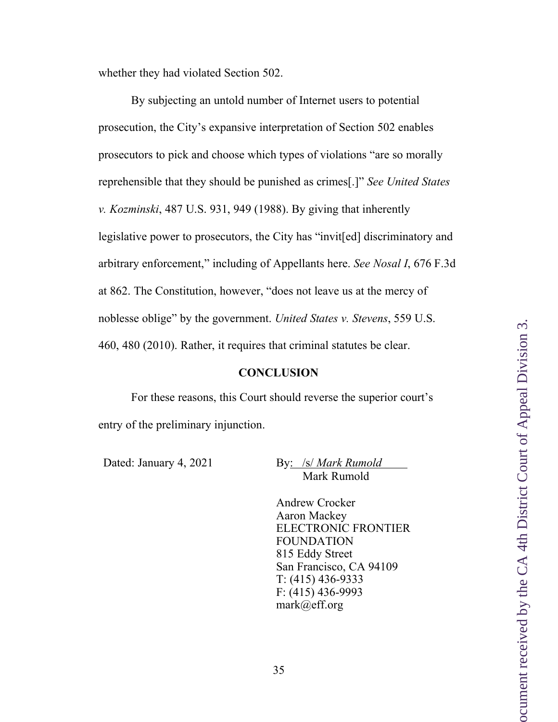whether they had violated Section 502.

By subjecting an untold number of Internet users to potential prosecution, the City's expansive interpretation of Section 502 enables prosecutors to pick and choose which types of violations "are so morally reprehensible that they should be punished as crimes[.]" *See United States v. Kozminski*, 487 U.S. 931, 949 (1988). By giving that inherently legislative power to prosecutors, the City has "invit[ed] discriminatory and arbitrary enforcement," including of Appellants here. *See Nosal I*, 676 F.3d at 862. The Constitution, however, "does not leave us at the mercy of noblesse oblige" by the government. *United States v. Stevens*, 559 U.S. 460, 480 (2010). Rather, it requires that criminal statutes be clear.

#### **CONCLUSION**

For these reasons, this Court should reverse the superior court's entry of the preliminary injunction.

Dated: January 4, 2021 By: /s/ *Mark Rumold* Mark Rumold

> Andrew Crocker Aaron Mackey ELECTRONIC FRONTIER FOUNDATION 815 Eddy Street San Francisco, CA 94109 T: (415) 436-9333 F: (415) 436-9993 mark@eff.org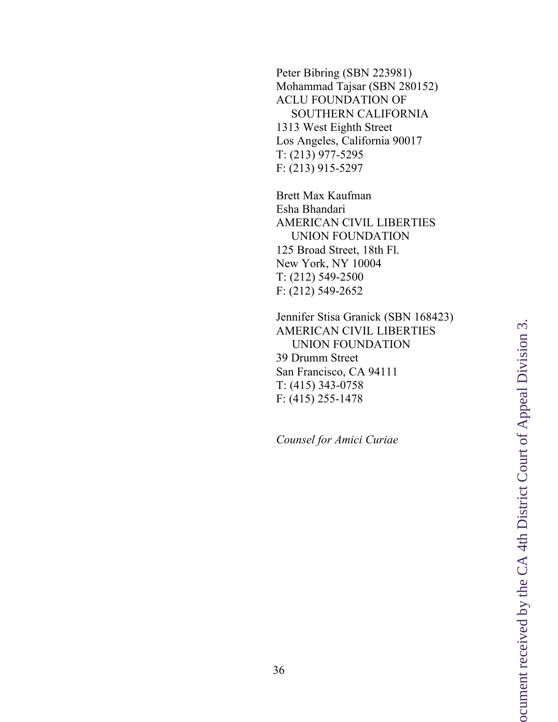Peter Bibring (SBN 223981) Mohammad Tajsar (SBN 280152) ACLU FOUNDATION OF SOUTHERN CALIFORNIA 1313 West Eighth Street Los Angeles, California 90017 T: (213) 977 -5295 F: (213) 915 -5297

Brett Max Kaufman Esha Bhandari AMERICAN CIVIL LIBERTIES UNION FOUNDATION 125 Broad Street, 18th Fl. New York, NY 10004 T: (212) 549 -2500 F: (212) 549 -2652

Jennifer Stisa Granick (SBN 168423) AMERICAN CIVIL LIBERTIES UNION FOUNDATION 39 Drumm Street San Francisco, CA 94111 T: (415) 343 -0758 F: (415) 255 -1478

*Counsel for Amici Curiae*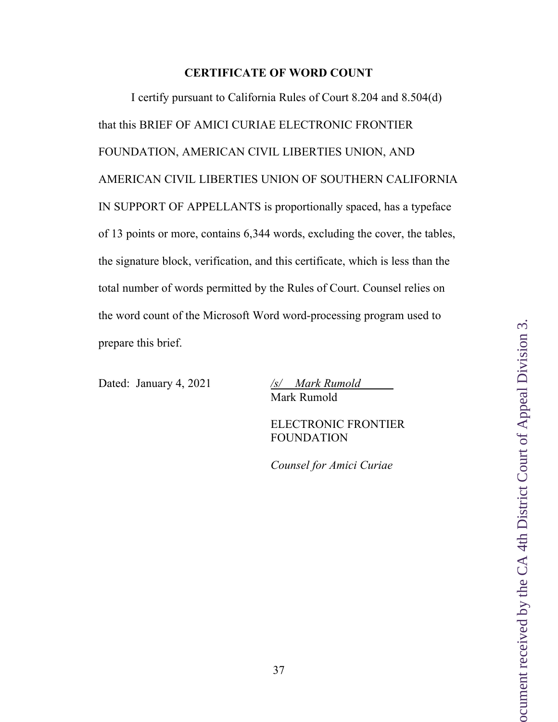#### **CERTIFICATE OF WORD COUNT**

I certify pursuant to California Rules of Court 8.204 and 8.504(d) that this BRIEF OF AMICI CURIAE ELECTRONIC FRONTIER FOUNDATION, AMERICAN CIVIL LIBERTIES UNION, AND AMERICAN CIVIL LIBERTIES UNION OF SOUTHERN CALIFORNIA IN SUPPORT OF APPELLANTS is proportionally spaced, has a typeface of 13 points or more, contains 6,344 words, excluding the cover, the tables, the signature block, verification, and this certificate, which is less than the total number of words permitted by the Rules of Court. Counsel relies on the word count of the Microsoft Word word-processing program used to prepare this brief.

Dated: January 4, 2021 */s/ Mark Rumold*

Mark Rumold

ELECTRONIC FRONTIER FOUNDATION

*Counsel for Amici Curiae*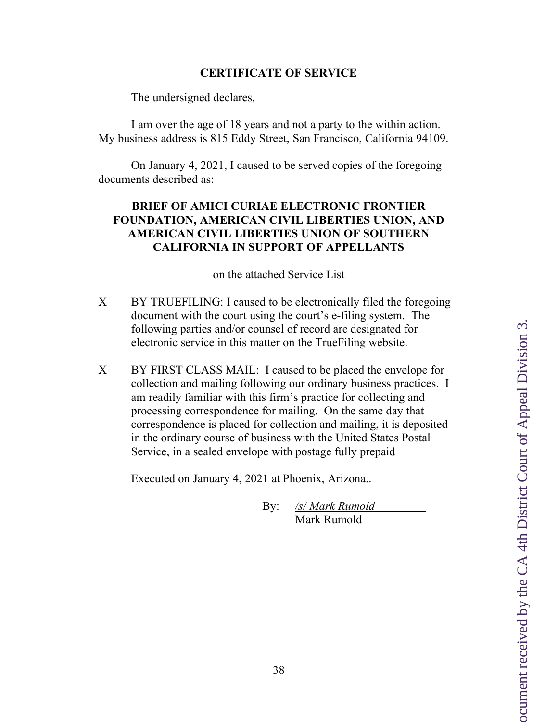# **CERTIFICATE OF SERVICE**

The undersigned declares,

I am over the age of 18 years and not a party to the within action. My business address is 815 Eddy Street, San Francisco, California 94109.

On January 4, 2021, I caused to be served copies of the foregoing documents described as:

## **BRIEF OF AMICI CURIAE ELECTRONIC FRONTIER FOUNDATION, AMERICAN CIVIL LIBERTIES UNION, AND AMERICAN CIVIL LIBERTIES UNION OF SOUTHERN CALIFORNIA IN SUPPORT OF APPELLANTS**

on the attached Service List

- X BY TRUEFILING: I caused to be electronically filed the foregoing document with the court using the court's e-filing system. The following parties and/or counsel of record are designated for electronic service in this matter on the TrueFiling website.
- X BY FIRST CLASS MAIL: I caused to be placed the envelope for collection and mailing following our ordinary business practices. I am readily familiar with this firm's practice for collecting and processing correspondence for mailing. On the same day that correspondence is placed for collection and mailing, it is deposited in the ordinary course of business with the United States Postal Service, in a sealed envelope with postage fully prepaid

Executed on January 4, 2021 at Phoenix, Arizona..

By: */s/ Mark Rumold* Mark Rumold